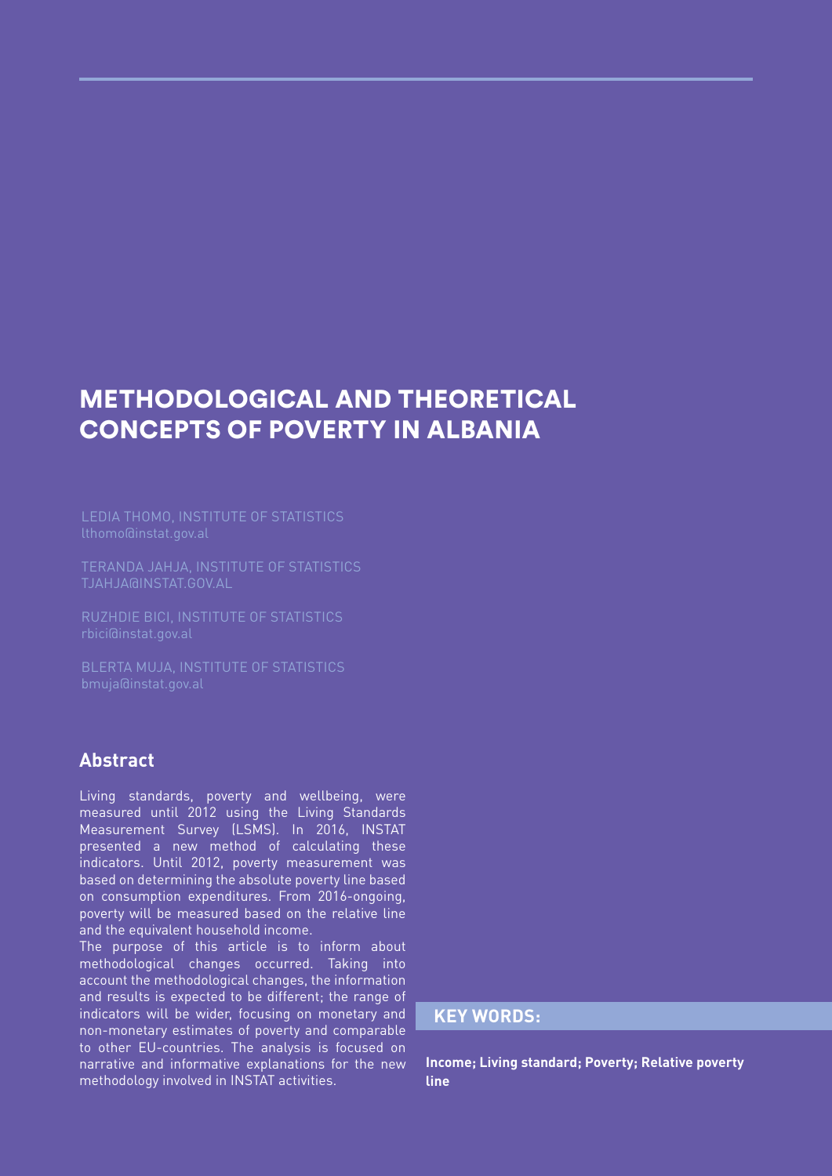# METHODOLOGICAL AND THEORETICAL CONCEPTS OF POVERTY IN ALBANIA

LEDIA THOMO, INSTITUTE OF STATISTICS

TERANDA JAHJA, INSTITUTE OF STATISTICS TJAHJA@INSTAT.GOV.AL

RUZHDIE BICI, INSTITUTE OF STATISTICS

BLERTA MUJA, INSTITUTE OF STATISTICS

### **Abstract**

Living standards, poverty and wellbeing, were measured until 2012 using the Living Standards Measurement Survey (LSMS). In 2016, INSTAT presented a new method of calculating these indicators. Until 2012, poverty measurement was based on determining the absolute poverty line based on consumption expenditures. From 2016-ongoing, poverty will be measured based on the relative line and the equivalent household income.

The purpose of this article is to inform about methodological changes occurred. Taking into account the methodological changes, the information and results is expected to be different; the range of indicators will be wider, focusing on monetary and non-monetary estimates of poverty and comparable to other EU-countries. The analysis is focused on narrative and informative explanations for the new methodology involved in INSTAT activities.

### **KEY WORDS:**

**Income; Living standard; Poverty; Relative poverty line**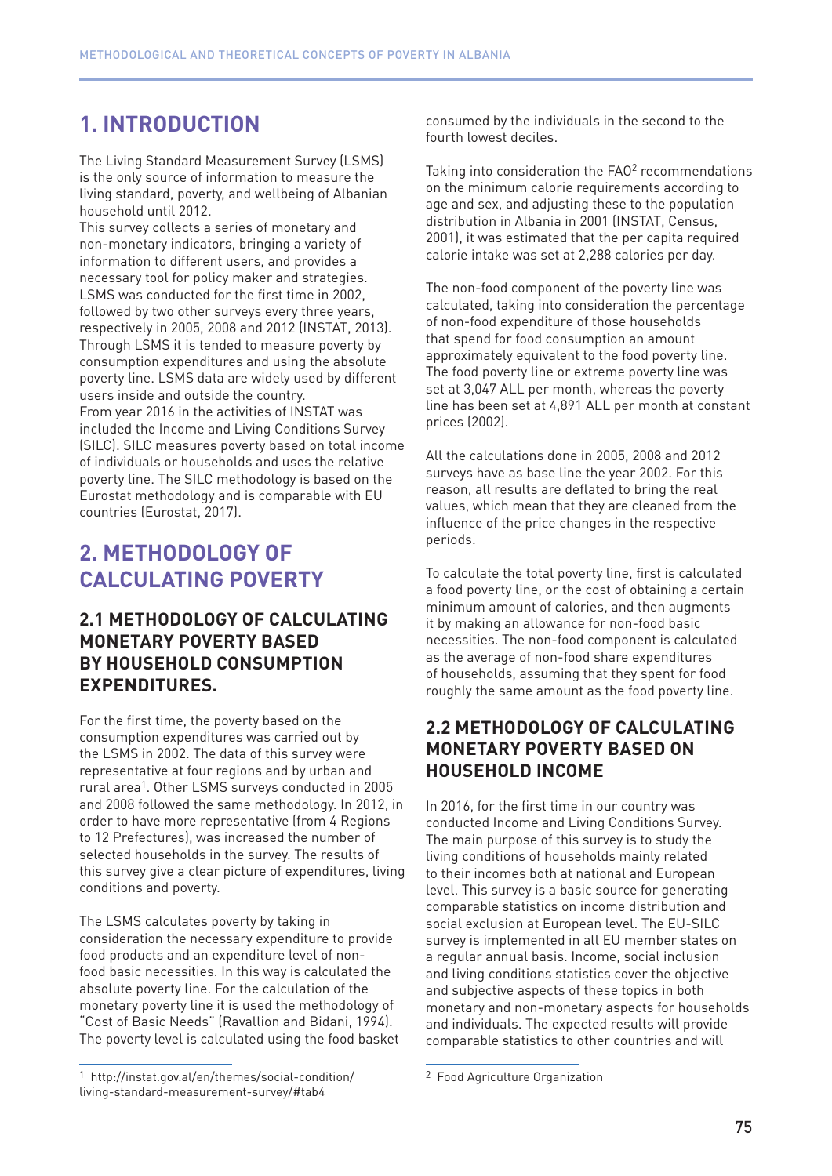## **1. INTRODUCTION**

The Living Standard Measurement Survey (LSMS) is the only source of information to measure the living standard, poverty, and wellbeing of Albanian household until 2012.

This survey collects a series of monetary and non-monetary indicators, bringing a variety of information to different users, and provides a necessary tool for policy maker and strategies. LSMS was conducted for the first time in 2002, followed by two other surveys every three years, respectively in 2005, 2008 and 2012 (INSTAT, 2013). Through LSMS it is tended to measure poverty by consumption expenditures and using the absolute poverty line. LSMS data are widely used by different users inside and outside the country.

From year 2016 in the activities of INSTAT was included the Income and Living Conditions Survey (SILC). SILC measures poverty based on total income of individuals or households and uses the relative poverty line. The SILC methodology is based on the Eurostat methodology and is comparable with EU countries (Eurostat, 2017).

### **2. METHODOLOGY OF CALCULATING POVERTY**

### **2.1 METHODOLOGY OF CALCULATING MONETARY POVERTY BASED BY HOUSEHOLD CONSUMPTION EXPENDITURES.**

For the first time, the poverty based on the consumption expenditures was carried out by the LSMS in 2002. The data of this survey were representative at four regions and by urban and rural area1. Other LSMS surveys conducted in 2005 and 2008 followed the same methodology. In 2012, in order to have more representative (from 4 Regions to 12 Prefectures), was increased the number of selected households in the survey. The results of this survey give a clear picture of expenditures, living conditions and poverty.

The LSMS calculates poverty by taking in consideration the necessary expenditure to provide food products and an expenditure level of nonfood basic necessities. In this way is calculated the absolute poverty line. For the calculation of the monetary poverty line it is used the methodology of "Cost of Basic Needs" (Ravallion and Bidani, 1994). The poverty level is calculated using the food basket

consumed by the individuals in the second to the fourth lowest deciles.

Taking into consideration the FAO<sup>2</sup> recommendations on the minimum calorie requirements according to age and sex, and adjusting these to the population distribution in Albania in 2001 (INSTAT, Census, 2001), it was estimated that the per capita required calorie intake was set at 2,288 calories per day.

The non-food component of the poverty line was calculated, taking into consideration the percentage of non-food expenditure of those households that spend for food consumption an amount approximately equivalent to the food poverty line. The food poverty line or extreme poverty line was set at 3,047 ALL per month, whereas the poverty line has been set at 4,891 ALL per month at constant prices (2002).

All the calculations done in 2005, 2008 and 2012 surveys have as base line the year 2002. For this reason, all results are deflated to bring the real values, which mean that they are cleaned from the influence of the price changes in the respective periods.

To calculate the total poverty line, first is calculated a food poverty line, or the cost of obtaining a certain minimum amount of calories, and then augments it by making an allowance for non-food basic necessities. The non-food component is calculated as the average of non-food share expenditures of households, assuming that they spent for food roughly the same amount as the food poverty line.

### **2.2 METHODOLOGY OF CALCULATING MONETARY POVERTY BASED ON HOUSEHOLD INCOME**

In 2016, for the first time in our country was conducted Income and Living Conditions Survey. The main purpose of this survey is to study the living conditions of households mainly related to their incomes both at national and European level. This survey is a basic source for generating comparable statistics on income distribution and social exclusion at European level. The EU-SILC survey is implemented in all EU member states on a regular annual basis. Income, social inclusion and living conditions statistics cover the objective and subjective aspects of these topics in both monetary and non-monetary aspects for households and individuals. The expected results will provide comparable statistics to other countries and will

<sup>1</sup> http://instat.gov.al/en/themes/social-condition/ living-standard-measurement-survey/#tab4

<sup>2</sup> Food Agriculture Organization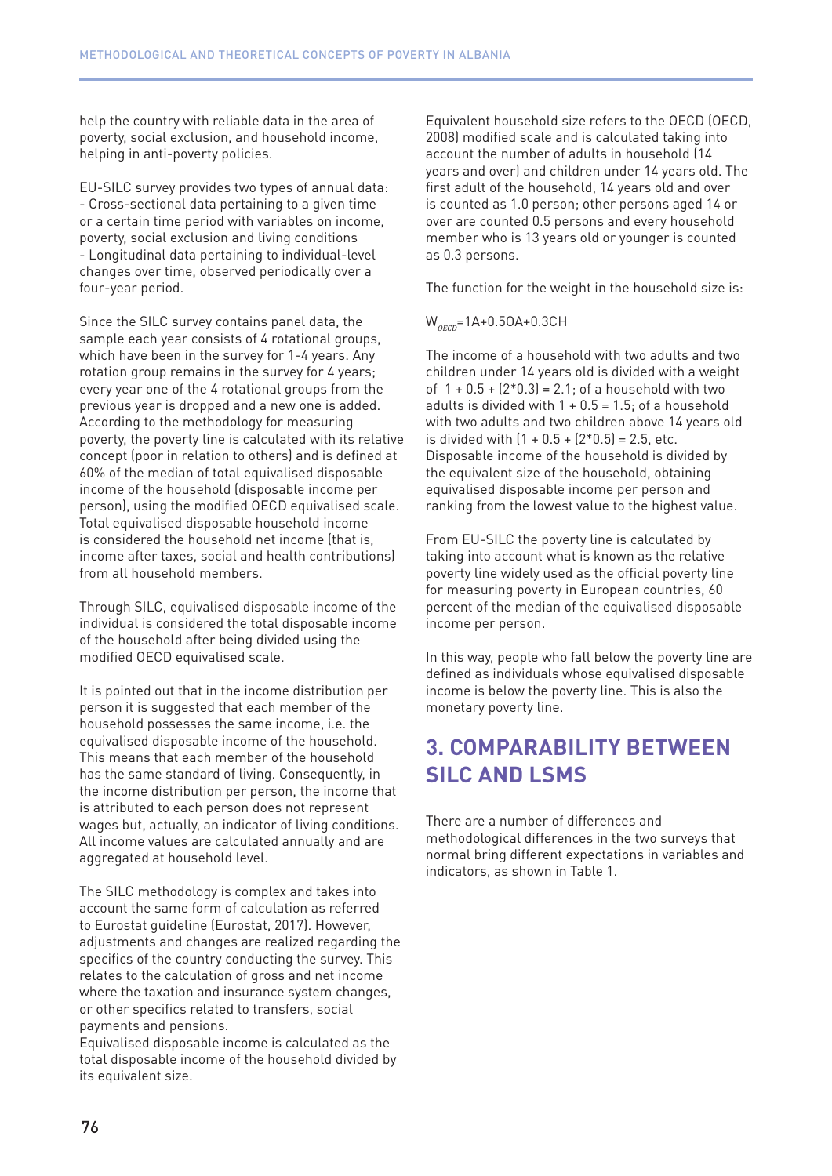help the country with reliable data in the area of poverty, social exclusion, and household income, helping in anti-poverty policies.

EU-SILC survey provides two types of annual data: - Cross-sectional data pertaining to a given time or a certain time period with variables on income, poverty, social exclusion and living conditions - Longitudinal data pertaining to individual-level changes over time, observed periodically over a four-year period.

Since the SILC survey contains panel data, the sample each year consists of 4 rotational groups, which have been in the survey for 1-4 years. Any rotation group remains in the survey for 4 years; every year one of the 4 rotational groups from the previous year is dropped and a new one is added. According to the methodology for measuring poverty, the poverty line is calculated with its relative concept (poor in relation to others) and is defined at 60% of the median of total equivalised disposable income of the household (disposable income per person), using the modified OECD equivalised scale. Total equivalised disposable household income is considered the household net income (that is, income after taxes, social and health contributions) from all household members.

Through SILC, equivalised disposable income of the individual is considered the total disposable income of the household after being divided using the modified OECD equivalised scale.

It is pointed out that in the income distribution per person it is suggested that each member of the household possesses the same income, i.e. the equivalised disposable income of the household. This means that each member of the household has the same standard of living. Consequently, in the income distribution per person, the income that is attributed to each person does not represent wages but, actually, an indicator of living conditions. All income values are calculated annually and are aggregated at household level.

The SILC methodology is complex and takes into account the same form of calculation as referred to Eurostat guideline (Eurostat, 2017). However, adjustments and changes are realized regarding the specifics of the country conducting the survey. This relates to the calculation of gross and net income where the taxation and insurance system changes, or other specifics related to transfers, social payments and pensions.

Equivalised disposable income is calculated as the total disposable income of the household divided by its equivalent size.

Equivalent household size refers to the OECD (OECD, 2008) modified scale and is calculated taking into account the number of adults in household (14 years and over) and children under 14 years old. The first adult of the household, 14 years old and over is counted as 1.0 person; other persons aged 14 or over are counted 0.5 persons and every household member who is 13 years old or younger is counted as 0.3 persons.

The function for the weight in the household size is:

#### W<sub>OECD</sub>=1A+0.5OA+0.3CH

The income of a household with two adults and two children under 14 years old is divided with a weight of  $1 + 0.5 + (2 * 0.3) = 2.1$ ; of a household with two adults is divided with  $1 + 0.5 = 1.5$ ; of a household with two adults and two children above 14 years old is divided with  $(1 + 0.5 + (2 \cdot 0.5) = 2.5$ , etc. Disposable income of the household is divided by the equivalent size of the household, obtaining equivalised disposable income per person and ranking from the lowest value to the highest value.

From EU-SILC the poverty line is calculated by taking into account what is known as the relative poverty line widely used as the official poverty line for measuring poverty in European countries, 60 percent of the median of the equivalised disposable income per person.

In this way, people who fall below the poverty line are defined as individuals whose equivalised disposable income is below the poverty line. This is also the monetary poverty line.

### **3. COMPARABILITY BETWEEN SILC AND LSMS**

There are a number of differences and methodological differences in the two surveys that normal bring different expectations in variables and indicators, as shown in Table 1.